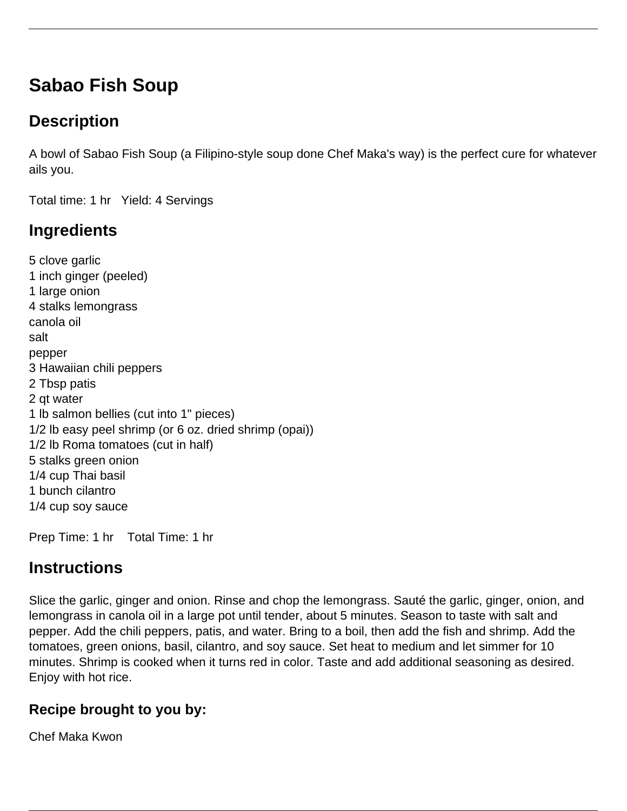# **Sabao Fish Soup**

## **Description**

A bowl of Sabao Fish Soup (a Filipino-style soup done Chef Maka's way) is the perfect cure for whatever ails you.

Total time: 1 hr Yield: 4 Servings

## **Ingredients**

5 clove garlic 1 inch ginger (peeled) 1 large onion 4 stalks lemongrass canola oil salt pepper 3 Hawaiian chili peppers 2 Tbsp patis 2 qt water 1 lb salmon bellies (cut into 1" pieces) 1/2 lb easy peel shrimp (or 6 oz. dried shrimp (opai)) 1/2 lb Roma tomatoes (cut in half) 5 stalks green onion 1/4 cup Thai basil 1 bunch cilantro 1/4 cup soy sauce

Prep Time: 1 hr Total Time: 1 hr

### **Instructions**

Slice the garlic, ginger and onion. Rinse and chop the lemongrass. Sauté the garlic, ginger, onion, and lemongrass in canola oil in a large pot until tender, about 5 minutes. Season to taste with salt and pepper. Add the chili peppers, patis, and water. Bring to a boil, then add the fish and shrimp. Add the tomatoes, green onions, basil, cilantro, and soy sauce. Set heat to medium and let simmer for 10 minutes. Shrimp is cooked when it turns red in color. Taste and add additional seasoning as desired. Enjoy with hot rice.

#### **Recipe brought to you by:**

Chef Maka Kwon